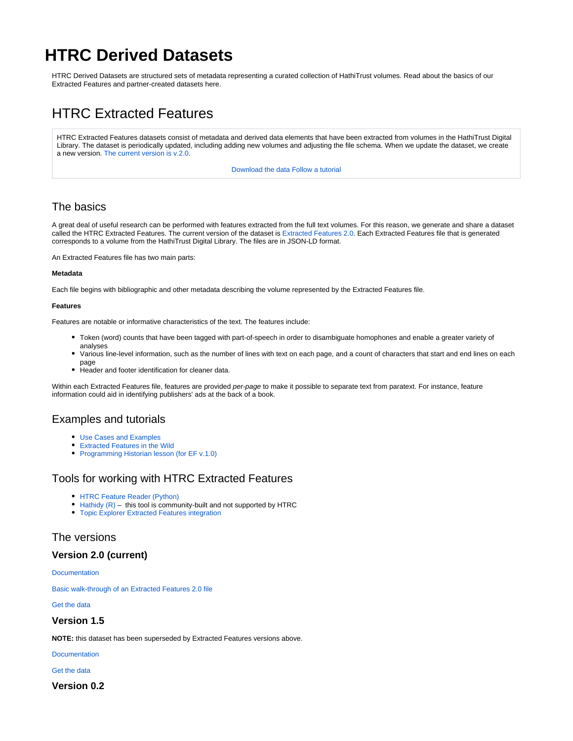# **HTRC Derived Datasets**

HTRC Derived Datasets are structured sets of metadata representing a curated collection of HathiTrust volumes. Read about the basics of our Extracted Features and partner-created datasets here.

# HTRC Extracted Features

HTRC Extracted Features datasets consist of metadata and derived data elements that have been extracted from volumes in the HathiTrust Digital Library. The dataset is periodically updated, including adding new volumes and adjusting the file schema. When we update the dataset, we create a new version. [The current version is v.2.0.](https://wiki.htrc.illinois.edu/pages/viewpage.action?pageId=79069329)

[Download the data](https://wiki.htrc.illinois.edu/display/COM/Downloading+Extracted+Features) [Follow a tutorial](https://wiki.htrc.illinois.edu/display/COM/Extracted+Features+Use+Cases+and+Examples)

## The basics

A great deal of useful research can be performed with features extracted from the full text volumes. For this reason, we generate and share a dataset called the HTRC Extracted Features. The current version of the dataset is [Extracted Features 2.0.](https://wiki.htrc.illinois.edu/pages/viewpage.action?pageId=79069329) Each Extracted Features file that is generated corresponds to a volume from the HathiTrust Digital Library. The files are in JSON-LD format.

An Extracted Features file has two main parts:

#### **Metadata**

Each file begins with bibliographic and other metadata describing the volume represented by the Extracted Features file.

#### **Features**

Features are notable or informative characteristics of the text. The features include:

- Token (word) counts that have been tagged with part-of-speech in order to disambiguate homophones and enable a greater variety of analyses
- Various line-level information, such as the number of lines with text on each page, and a count of characters that start and end lines on each page
- Header and footer identification for cleaner data.

Within each Extracted Features file, features are provided per-page to make it possible to separate text from paratext. For instance, feature information could aid in identifying publishers' ads at the back of a book.

## Examples and tutorials

- [Use Cases and Examples](https://wiki.htrc.illinois.edu/display/COM/Extracted+Features+Use+Cases+and+Examples)
- [Extracted Features in the Wild](https://wiki.htrc.illinois.edu/display/COM/Extracted+Features+in+the+Wild)
- [Programming Historian lesson \(for EF v.1.0\)](https://programminghistorian.org/en/lessons/text-mining-with-extracted-features)

### Tools for working with HTRC Extracted Features

- [HTRC Feature Reader \(Python\)](https://github.com/htrc/htrc-feature-reader)
- Hathidy  $(R)$  this tool is community-built and not supported by HTRC
- [Topic Explorer Extracted Features integration](https://inpho.github.io/topic-explorer/htrc.html#working-with-htrc-extracted-features)

### The versions

### **Version 2.0 (current)**

**[Documentation](https://wiki.htrc.illinois.edu/pages/viewpage.action?pageId=79069329)** 

[Basic walk-through of an Extracted Features 2.0 file](https://wiki.htrc.illinois.edu/display/COM/Basic+walk-through+of+an+Extracted+Features+2.0+file)

[Get the data](https://wiki.htrc.illinois.edu/display/COM/Downloading+Extracted+Features#DownloadingExtractedFeatures-EF2download)

### **Version 1.5**

**NOTE:** this dataset has been superseded by Extracted Features versions above.

**[Documentation](https://wiki.htrc.illinois.edu/pages/viewpage.action?pageId=37322778)** 

#### [Get the data](https://wiki.htrc.illinois.edu/display/COM/Downloading+Extracted+Features#DownloadingExtractedFeatures-EF1.5download)

**Version 0.2**